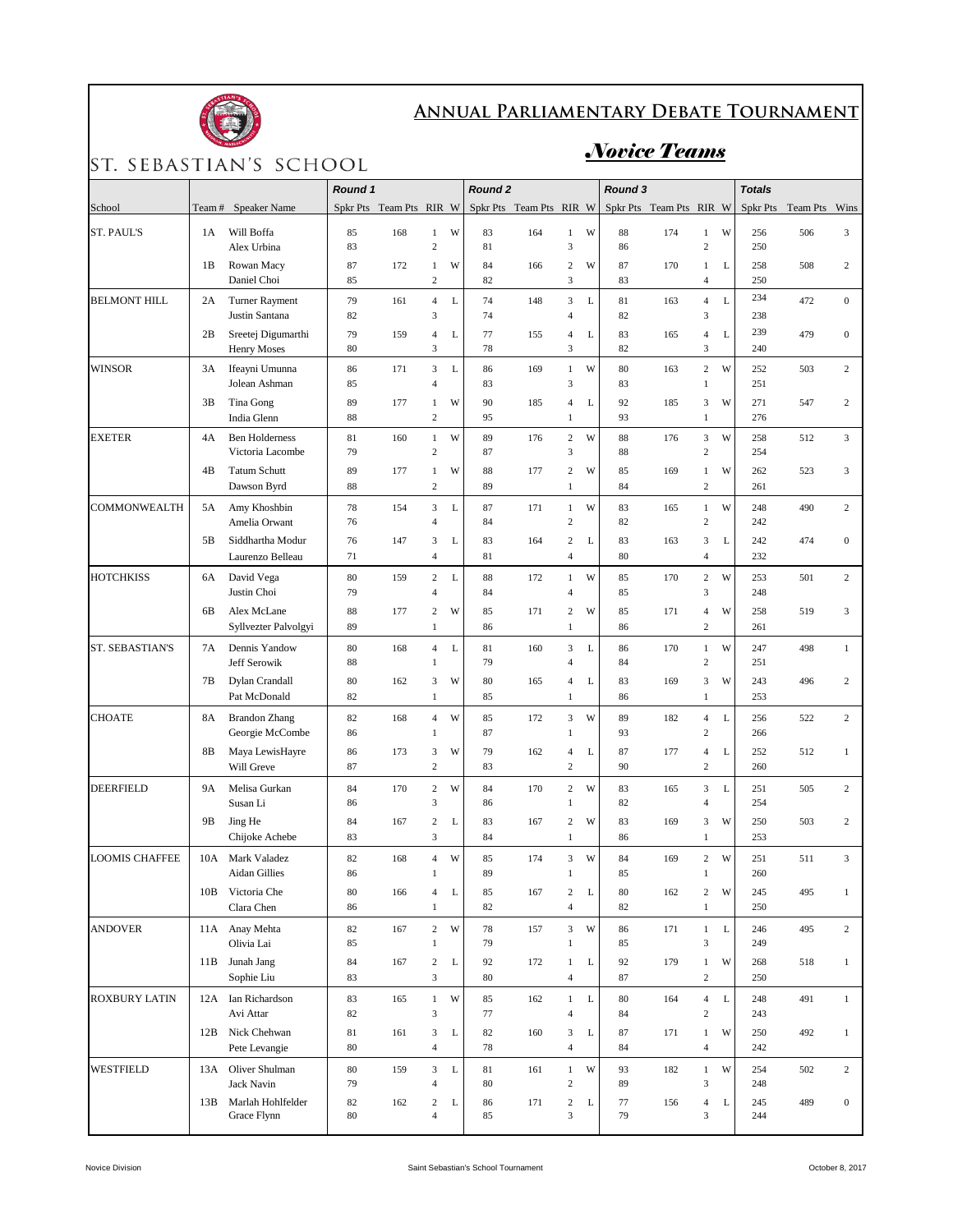

## **Annual Parliamentary Debate Tournament**

## ST. SEBASTIAN'S SCHOOL

## *Novice Teams*

|                       |                |                                           | Round 1  |                         |                                    |             | Round <sub>2</sub> |                         |                                             |              | Round 3  |                         |                                      |             | <b>Totals</b> |          |                  |
|-----------------------|----------------|-------------------------------------------|----------|-------------------------|------------------------------------|-------------|--------------------|-------------------------|---------------------------------------------|--------------|----------|-------------------------|--------------------------------------|-------------|---------------|----------|------------------|
| School                | Team#          | Speaker Name                              |          | Spkr Pts Team Pts RIR W |                                    |             |                    | Spkr Pts Team Pts RIR W |                                             |              |          | Spkr Pts Team Pts RIR W |                                      |             | Spkr Pts      | Team Pts | Wins             |
| <b>ST. PAUL'S</b>     | 1A             | Will Boffa<br>Alex Urbina                 | 85<br>83 | 168                     | $\mathbf{1}$<br>$\overline{c}$     | W           | 83<br>81           | 164                     | $\mathbf{1}$<br>3                           | W            | 88<br>86 | 174                     | $\mathbf{1}$<br>$\sqrt{2}$           | W           | 256<br>250    | 506      | 3                |
|                       | 1B             | Rowan Macy<br>Daniel Choi                 | 87<br>85 | 172                     | $\mathbf{1}$<br>$\overline{c}$     | W           | 84<br>82           | 166                     | $\overline{c}$<br>3                         | W            | 87<br>83 | 170                     | $\mathbf{1}$<br>$\overline{4}$       | L           | 258<br>250    | 508      | $\overline{c}$   |
| <b>BELMONT HILL</b>   | 2A             | <b>Turner Rayment</b><br>Justin Santana   | 79<br>82 | 161                     | $\overline{4}$<br>3                | $\mathbf L$ | 74<br>74           | 148                     | $\mathfrak{Z}$<br>4                         | $\mathbf{L}$ | 81<br>82 | 163                     | $\overline{4}$<br>$\mathfrak z$      | L           | 234<br>238    | 472      | $\mathbf{0}$     |
|                       | 2B             | Sreetej Digumarthi<br><b>Henry Moses</b>  | 79<br>80 | 159                     | $\overline{4}$<br>3                | L           | 77<br>78           | 155                     | $\overline{\mathbf{4}}$<br>3                | L            | 83<br>82 | 165                     | $\overline{4}$<br>3                  | L           | 239<br>240    | 479      | $\mathbf{0}$     |
| <b>WINSOR</b>         | 3A             | Ifeayni Umunna<br>Jolean Ashman           | 86<br>85 | 171                     | $\overline{3}$<br>$\overline{4}$   | $\mathbf L$ | 86<br>83           | 169                     | $\mathbf{1}$<br>3                           | W            | 80<br>83 | 163                     | $\sqrt{2}$<br>$\mathbf{1}$           | W           | 252<br>251    | 503      | $\overline{c}$   |
|                       | 3B             | Tina Gong<br>India Glenn                  | 89<br>88 | 177                     | $\mathbf{1}$<br>$\overline{c}$     | W           | 90<br>95           | 185                     | $\overline{\mathbf{4}}$<br>$\mathbf{1}$     | $\mathbf{L}$ | 92<br>93 | 185                     | 3<br>$\mathbf{1}$                    | W           | 271<br>276    | 547      | $\overline{c}$   |
| <b>EXETER</b>         | 4A             | <b>Ben Holderness</b><br>Victoria Lacombe | 81<br>79 | 160                     | $\mathbf{1}$<br>$\overline{c}$     | W           | 89<br>87           | 176                     | $\mathbf{2}$<br>3                           | W            | 88<br>88 | 176                     | $\overline{3}$<br>$\overline{c}$     | W           | 258<br>254    | 512      | 3                |
|                       | 4B             | <b>Tatum Schutt</b><br>Dawson Byrd        | 89<br>88 | 177                     | $\mathbf{1}$<br>$\overline{c}$     | W           | 88<br>89           | 177                     | $\overline{c}$<br>$\mathbf{1}$              | W            | 85<br>84 | 169                     | $\mathbf{1}$<br>$\overline{c}$       | W           | 262<br>261    | 523      | 3                |
| <b>COMMONWEALTH</b>   | 5A             | Amy Khoshbin<br>Amelia Orwant             | 78<br>76 | 154                     | $\overline{3}$<br>$\overline{4}$   | $\mathbf L$ | 87<br>84           | 171                     | $\,1$<br>$\overline{c}$                     | W            | 83<br>82 | 165                     | $\mathbf{1}$<br>$\sqrt{2}$           | W           | 248<br>242    | 490      | $\overline{2}$   |
|                       | 5 <sub>B</sub> | Siddhartha Modur<br>Laurenzo Belleau      | 76<br>71 | 147                     | 3<br>$\overline{4}$                | L           | 83<br>81           | 164                     | $\overline{c}$<br>$\overline{\mathbf{4}}$   | L            | 83<br>80 | 163                     | 3<br>$\overline{4}$                  | L           | 242<br>232    | 474      | $\overline{0}$   |
| <b>HOTCHKISS</b>      | 6A             | David Vega<br>Justin Choi                 | 80<br>79 | 159                     | $\overline{c}$<br>$\overline{4}$   | L           | 88<br>84           | 172                     | $\mathbf{1}$<br>$\overline{4}$              | W            | 85<br>85 | 170                     | $\sqrt{2}$<br>3                      | W           | 253<br>248    | 501      | $\overline{2}$   |
|                       | 6B             | Alex McLane<br>Syllvezter Palvolgyi       | 88<br>89 | 177                     | $\boldsymbol{2}$<br>$\mathbf{1}$   | W           | 85<br>86           | 171                     | $\boldsymbol{2}$<br>$\mathbf{1}$            | W            | 85<br>86 | 171                     | $\overline{4}$<br>$\overline{c}$     | W           | 258<br>261    | 519      | 3                |
| ST. SEBASTIAN'S       | 7Α             | Dennis Yandow<br>Jeff Serowik             | 80<br>88 | 168                     | $\overline{4}$<br>$\mathbf{1}$     | L           | 81<br>79           | 160                     | 3<br>4                                      | L            | 86<br>84 | 170                     | $\mathbf{1}$<br>$\sqrt{2}$           | W           | 247<br>251    | 498      | $\mathbf{1}$     |
|                       | 7Β             | Dylan Crandall<br>Pat McDonald            | 80<br>82 | 162                     | 3<br>$\mathbf{1}$                  | W           | 80<br>85           | 165                     | 4<br>$\mathbf{1}$                           | L            | 83<br>86 | 169                     | $\mathfrak z$<br>$\mathbf{1}$        | W           | 243<br>253    | 496      | $\boldsymbol{2}$ |
| <b>CHOATE</b>         | 8A             | <b>Brandon Zhang</b><br>Georgie McCombe   | 82<br>86 | 168                     | $\overline{4}$<br>1                | W           | 85<br>87           | 172                     | 3<br>$\,1$                                  | W            | 89<br>93 | 182                     | $\overline{4}$<br>$\sqrt{2}$         | L           | 256<br>266    | 522      | $\overline{2}$   |
|                       | 8B             | Maya LewisHayre<br>Will Greve             | 86<br>87 | 173                     | 3<br>$\overline{c}$                | W           | 79<br>83           | 162                     | 4<br>$\overline{c}$                         | L            | 87<br>90 | 177                     | $\overline{4}$<br>$\overline{c}$     | $\mathbf L$ | 252<br>260    | 512      | $\mathbf{1}$     |
| <b>DEERFIELD</b>      | <b>9A</b>      | Melisa Gurkan<br>Susan Li                 | 84<br>86 | 170                     | $\sqrt{2}$<br>3                    | W           | 84<br>86           | 170                     | $\overline{c}$<br>$\mathbf{1}$              | W            | 83<br>82 | 165                     | 3<br>$\overline{4}$                  | L           | 251<br>254    | 505      | $\overline{2}$   |
|                       | 9Β             | Jing He<br>Chijoke Achebe                 | 84<br>83 | 167                     | $\overline{c}$<br>3                | L           | 83<br>84           | 167                     | $\mathbf{2}$<br>$\mathbf{1}$                | W            | 83<br>86 | 169                     | 3<br>$\mathbf{1}$                    | W           | 250<br>253    | 503      | $\overline{2}$   |
| <b>LOOMIS CHAFFEE</b> | 10A            | Mark Valadez<br>Aidan Gillies             | 82<br>86 | 168                     | $\overline{4}$                     | W           | 85<br>89           | 174                     | 3<br>1                                      | W            | 84<br>85 | 169                     | $\,2$                                | W           | 251<br>260    | 511      | 3                |
|                       | 10B            | Victoria Che<br>Clara Chen                | 80<br>86 | 166                     | $\overline{4}$<br>$\mathbf{1}$     | L           | 85<br>82           | 167                     | $\boldsymbol{2}$<br>$\overline{\mathbf{4}}$ | L            | 80<br>82 | 162                     | $\boldsymbol{2}$<br>$\mathbf{1}$     | W           | 245<br>250    | 495      | $\mathbf{1}$     |
| <b>ANDOVER</b>        | 11A            | Anay Mehta<br>Olivia Lai                  | 82<br>85 | 167                     | $\,2$<br>$\mathbf{1}$              | W           | 78<br>79           | 157                     | 3<br>$\,1$                                  | W            | 86<br>85 | 171                     | $\mathbf{1}$<br>$\mathfrak z$        | $\mathbf L$ | 246<br>249    | 495      | $\overline{c}$   |
|                       | 11B            | Junah Jang<br>Sophie Liu                  | 84<br>83 | 167                     | $\boldsymbol{2}$<br>$\mathfrak{Z}$ | L           | 92<br>80           | 172                     | $\mathbf{1}$<br>$\overline{\mathbf{4}}$     | L            | 92<br>87 | 179                     | $\,1$<br>$\sqrt{2}$                  | W           | 268<br>250    | 518      | $\mathbf{1}$     |
| ROXBURY LATIN         |                | 12A Ian Richardson<br>Avi Attar           | 83<br>82 | 165                     | $\mathbf{1}$<br>$\mathfrak{Z}$     | W           | 85<br>77           | 162                     | $\mathbf{1}$<br>4                           | $\mathbf L$  | 80<br>84 | 164                     | $\overline{4}$<br>$\,2$              | L           | 248<br>243    | 491      | $\mathbf{1}$     |
|                       | 12B            | Nick Chehwan<br>Pete Levangie             | 81<br>80 | 161                     | 3<br>$\overline{4}$                | L           | 82<br>78           | 160                     | 3<br>$\overline{\mathbf{4}}$                | L            | 87<br>84 | 171                     | $\mathbf{1}$<br>$\ensuremath{4}$     | W           | 250<br>242    | 492      | $\mathbf{1}$     |
| <b>WESTFIELD</b>      | 13A            | Oliver Shulman<br>Jack Navin              | 80<br>79 | 159                     | 3<br>$\overline{4}$                | L           | 81<br>80           | 161                     | $\mathbf{1}$<br>$\sqrt{2}$                  | W            | 93<br>89 | 182                     | $\,1$<br>$\ensuremath{\mathfrak{Z}}$ | W           | 254<br>248    | 502      | $\overline{c}$   |
|                       | 13B            | Marlah Hohlfelder<br>Grace Flynn          | 82<br>80 | 162                     | $\overline{c}$<br>$\overline{4}$   | L           | 86<br>85           | 171                     | $\boldsymbol{2}$<br>3                       | L            | 77<br>79 | 156                     | $\overline{4}$<br>$\mathfrak z$      | L           | 245<br>244    | 489      | $\boldsymbol{0}$ |